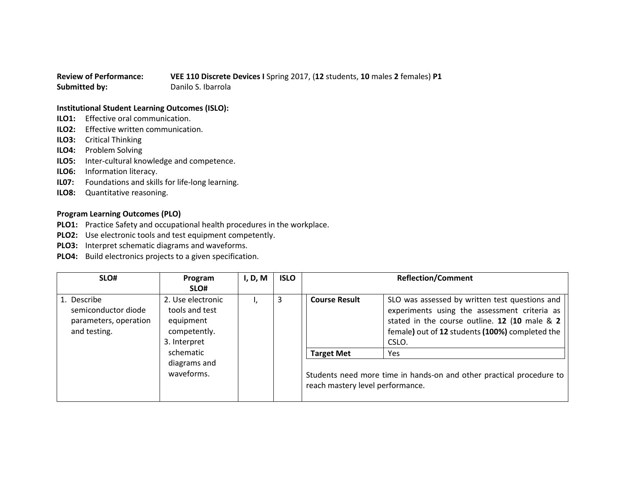## **Review of Performance: VEE 110 Discrete Devices I** Spring 2017, (**12** students, **10** males **2** females) **P1 Submitted by:** Danilo S. Ibarrola

## **Institutional Student Learning Outcomes (ISLO):**

- **ILO1:** Effective oral communication.
- **ILO2:** Effective written communication.
- **ILO3:** Critical Thinking
- **ILO4:** Problem Solving
- **ILO5:** Inter-cultural knowledge and competence.
- **ILO6:** Information literacy.
- **IL07:** Foundations and skills for life-long learning.
- **ILO8:** Quantitative reasoning.

## **Program Learning Outcomes (PLO)**

- **PLO1:** Practice Safety and occupational health procedures in the workplace.
- **PLO2:** Use electronic tools and test equipment competently.
- **PLO3:** Interpret schematic diagrams and waveforms.
- **PLO4:** Build electronics projects to a given specification.

| SLO#                                                                        | Program                                                                          | I, D, M | <b>ISLO</b> |                                                                                                          | <b>Reflection/Comment</b>                                                                                                                                                                                   |
|-----------------------------------------------------------------------------|----------------------------------------------------------------------------------|---------|-------------|----------------------------------------------------------------------------------------------------------|-------------------------------------------------------------------------------------------------------------------------------------------------------------------------------------------------------------|
|                                                                             | SLO#                                                                             |         |             |                                                                                                          |                                                                                                                                                                                                             |
| 1. Describe<br>semiconductor diode<br>parameters, operation<br>and testing. | 2. Use electronic<br>tools and test<br>equipment<br>competently.<br>3. Interpret |         | 3           | <b>Course Result</b>                                                                                     | SLO was assessed by written test questions and<br>experiments using the assessment criteria as<br>stated in the course outline. 12 (10 male & 2<br>female) out of 12 students (100%) completed the<br>CSLO. |
|                                                                             | schematic                                                                        |         |             | <b>Target Met</b>                                                                                        | Yes.                                                                                                                                                                                                        |
|                                                                             | diagrams and<br>waveforms.                                                       |         |             | Students need more time in hands-on and other practical procedure to<br>reach mastery level performance. |                                                                                                                                                                                                             |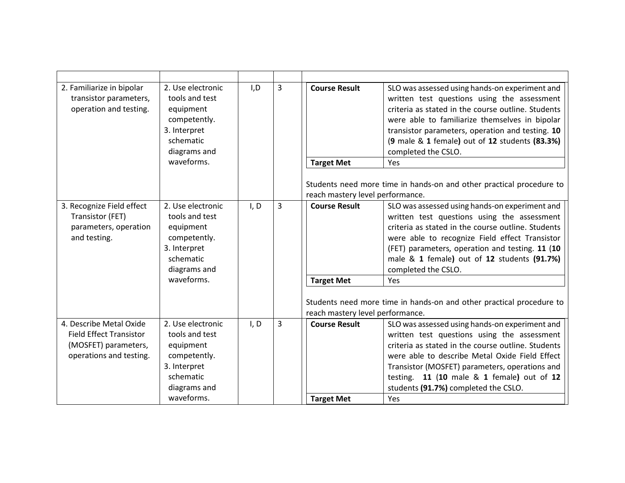| 2. Familiarize in bipolar<br>transistor parameters,<br>operation and testing.                                | 2. Use electronic<br>tools and test<br>equipment<br>competently.<br>3. Interpret<br>schematic<br>diagrams and<br>waveforms. | I, D | 3 | <b>Course Result</b><br><b>Target Met</b>                                     | SLO was assessed using hands-on experiment and<br>written test questions using the assessment<br>criteria as stated in the course outline. Students<br>were able to familiarize themselves in bipolar<br>transistor parameters, operation and testing. 10<br>(9 male & 1 female) out of 12 students (83.3%)<br>completed the CSLO.<br>Yes<br>Students need more time in hands-on and other practical procedure to |
|--------------------------------------------------------------------------------------------------------------|-----------------------------------------------------------------------------------------------------------------------------|------|---|-------------------------------------------------------------------------------|-------------------------------------------------------------------------------------------------------------------------------------------------------------------------------------------------------------------------------------------------------------------------------------------------------------------------------------------------------------------------------------------------------------------|
|                                                                                                              |                                                                                                                             |      |   | reach mastery level performance.                                              |                                                                                                                                                                                                                                                                                                                                                                                                                   |
| 3. Recognize Field effect<br>Transistor (FET)<br>parameters, operation<br>and testing.                       | 2. Use electronic<br>tools and test<br>equipment<br>competently.<br>3. Interpret<br>schematic<br>diagrams and<br>waveforms. | I, D | 3 | <b>Course Result</b><br><b>Target Met</b><br>reach mastery level performance. | SLO was assessed using hands-on experiment and<br>written test questions using the assessment<br>criteria as stated in the course outline. Students<br>were able to recognize Field effect Transistor<br>(FET) parameters, operation and testing. 11 (10<br>male & 1 female) out of 12 students (91.7%)<br>completed the CSLO.<br>Yes<br>Students need more time in hands-on and other practical procedure to     |
| 4. Describe Metal Oxide<br><b>Field Effect Transistor</b><br>(MOSFET) parameters,<br>operations and testing. | 2. Use electronic<br>tools and test<br>equipment<br>competently.<br>3. Interpret<br>schematic<br>diagrams and<br>waveforms. | I, D | 3 | <b>Course Result</b><br><b>Target Met</b>                                     | SLO was assessed using hands-on experiment and<br>written test questions using the assessment<br>criteria as stated in the course outline. Students<br>were able to describe Metal Oxide Field Effect<br>Transistor (MOSFET) parameters, operations and<br>testing. 11 (10 male & 1 female) out of 12<br>students (91.7%) completed the CSLO.<br>Yes                                                              |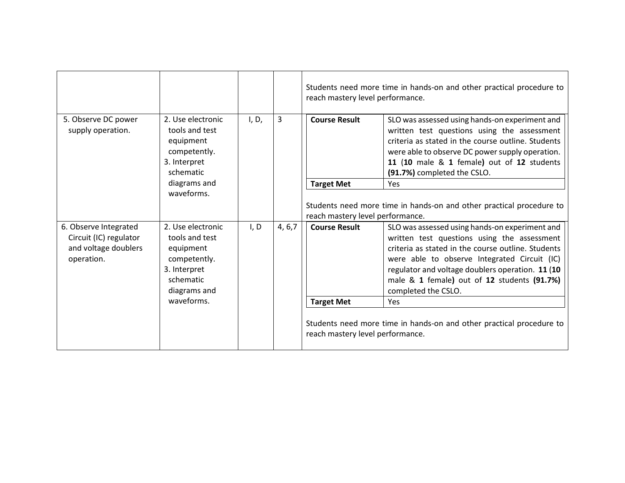|                                                                                       |                                                                                                               |                 |                      | Students need more time in hands-on and other practical procedure to<br>reach mastery level performance.                                                                                                                                                                            |                                                                                                                                                                                                                                                                                                                               |
|---------------------------------------------------------------------------------------|---------------------------------------------------------------------------------------------------------------|-----------------|----------------------|-------------------------------------------------------------------------------------------------------------------------------------------------------------------------------------------------------------------------------------------------------------------------------------|-------------------------------------------------------------------------------------------------------------------------------------------------------------------------------------------------------------------------------------------------------------------------------------------------------------------------------|
| 5. Observe DC power<br>supply operation.                                              | 3<br>2. Use electronic<br>I, D,<br>tools and test<br>equipment<br>competently.<br>3. Interpret<br>schematic   |                 | <b>Course Result</b> | SLO was assessed using hands-on experiment and<br>written test questions using the assessment<br>criteria as stated in the course outline. Students<br>were able to observe DC power supply operation.<br>11 (10 male & 1 female) out of 12 students<br>(91.7%) completed the CSLO. |                                                                                                                                                                                                                                                                                                                               |
|                                                                                       | diagrams and<br>waveforms.                                                                                    |                 |                      | <b>Target Met</b>                                                                                                                                                                                                                                                                   | <b>Yes</b>                                                                                                                                                                                                                                                                                                                    |
|                                                                                       |                                                                                                               |                 |                      | Students need more time in hands-on and other practical procedure to<br>reach mastery level performance.                                                                                                                                                                            |                                                                                                                                                                                                                                                                                                                               |
| 6. Observe Integrated<br>Circuit (IC) regulator<br>and voltage doublers<br>operation. | 2. Use electronic<br>tools and test<br>equipment<br>competently.<br>3. Interpret<br>schematic<br>diagrams and | 4, 6, 7<br>I, D |                      | <b>Course Result</b>                                                                                                                                                                                                                                                                | SLO was assessed using hands-on experiment and<br>written test questions using the assessment<br>criteria as stated in the course outline. Students<br>were able to observe Integrated Circuit (IC)<br>regulator and voltage doublers operation. 11 (10<br>male & 1 female) out of 12 students (91.7%)<br>completed the CSLO. |
|                                                                                       | waveforms.                                                                                                    |                 |                      | <b>Target Met</b>                                                                                                                                                                                                                                                                   | <b>Yes</b>                                                                                                                                                                                                                                                                                                                    |
|                                                                                       |                                                                                                               |                 |                      | reach mastery level performance.                                                                                                                                                                                                                                                    | Students need more time in hands-on and other practical procedure to                                                                                                                                                                                                                                                          |